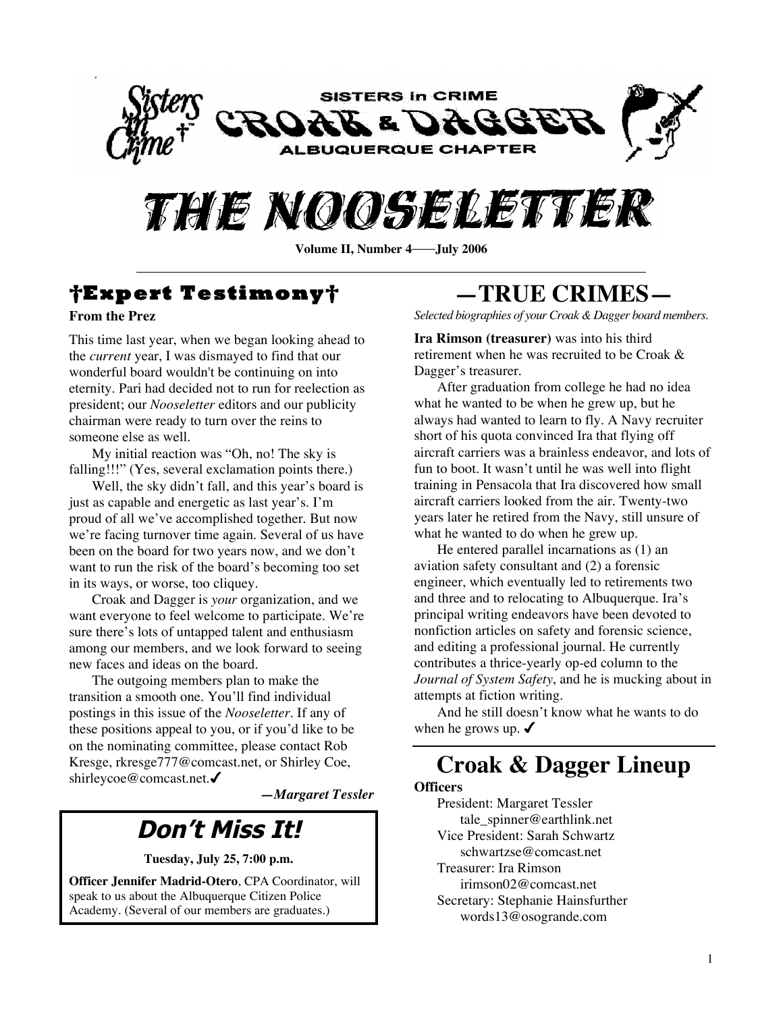



### **†Expert Testimony†**

#### **From the Prez**

This time last year, when we began looking ahead to the *current* year, I was dismayed to find that our wonderful board wouldn't be continuing on into eternity. Pari had decided not to run for reelection as president; our *Nooseletter* editors and our publicity chairman were ready to turn over the reins to someone else as well.

My initial reaction was "Oh, no! The sky is falling!!!" (Yes, several exclamation points there.)

Well, the sky didn't fall, and this year's board is just as capable and energetic as last year's. I'm proud of all we've accomplished together. But now we're facing turnover time again. Several of us have been on the board for two years now, and we don't want to run the risk of the board's becoming too set in its ways, or worse, too cliquey.

Croak and Dagger is *your* organization, and we want everyone to feel welcome to participate. We're sure there's lots of untapped talent and enthusiasm among our members, and we look forward to seeing new faces and ideas on the board.

The outgoing members plan to make the transition a smooth one. You'll find individual postings in this issue of the *Nooseletter*. If any of these positions appeal to you, or if you'd like to be on the nominating committee, please contact Rob Kresge, rkresge777@comcast.net, or Shirley Coe, shirleycoe@comcast.net.✔

*—Margaret Tessler*

## **Don't Miss It!**

**Tuesday, July 25, 7:00 p.m.**

**Officer Jennifer Madrid-Otero**, CPA Coordinator, will speak to us about the Albuquerque Citizen Police Academy. (Several of our members are graduates.)

## **—TRUE CRIMES—**

*Selected biographies of your Croak & Dagger board members.*

**Ira Rimson (treasurer)** was into his third retirement when he was recruited to be Croak & Dagger's treasurer.

After graduation from college he had no idea what he wanted to be when he grew up, but he always had wanted to learn to fly. A Navy recruiter short of his quota convinced Ira that flying off aircraft carriers was a brainless endeavor, and lots of fun to boot. It wasn't until he was well into flight training in Pensacola that Ira discovered how small aircraft carriers looked from the air. Twenty-two years later he retired from the Navy, still unsure of what he wanted to do when he grew up.

He entered parallel incarnations as (1) an aviation safety consultant and (2) a forensic engineer, which eventually led to retirements two and three and to relocating to Albuquerque. Ira's principal writing endeavors have been devoted to nonfiction articles on safety and forensic science, and editing a professional journal. He currently contributes a thrice-yearly op-ed column to the *Journal of System Safety*, and he is mucking about in attempts at fiction writing.

And he still doesn't know what he wants to do when he grows up.  $\checkmark$ 

## **Croak & Dagger Lineup**

#### **Officers**

President: Margaret Tessler tale\_spinner@earthlink.net Vice President: Sarah Schwartz schwartzse@comcast.net Treasurer: Ira Rimson irimson02@comcast.net Secretary: Stephanie Hainsfurther words13@osogrande.com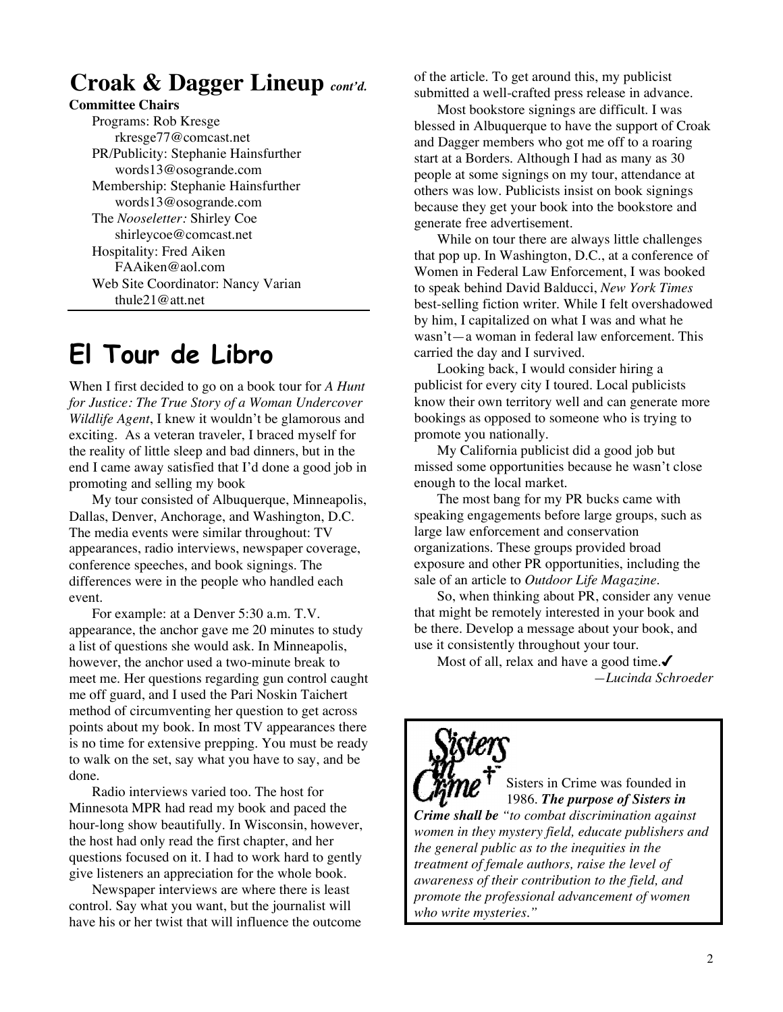### **Croak & Dagger Lineup** *cont'd.*

**Committee Chairs**

Programs: Rob Kresge rkresge77@comcast.net PR/Publicity: Stephanie Hainsfurther words13@osogrande.com Membership: Stephanie Hainsfurther words13@osogrande.com The *Nooseletter:* Shirley Coe shirleycoe@comcast.net Hospitality: Fred Aiken FAAiken@aol.com Web Site Coordinator: Nancy Varian thule21@att.net

## **El Tour de Libro**

When I first decided to go on a book tour for *A Hunt for Justice: The True Story of a Woman Undercover Wildlife Agent*, I knew it wouldn't be glamorous and exciting. As a veteran traveler, I braced myself for the reality of little sleep and bad dinners, but in the end I came away satisfied that I'd done a good job in promoting and selling my book

My tour consisted of Albuquerque, Minneapolis, Dallas, Denver, Anchorage, and Washington, D.C. The media events were similar throughout: TV appearances, radio interviews, newspaper coverage, conference speeches, and book signings. The differences were in the people who handled each event.

For example: at a Denver 5:30 a.m. T.V. appearance, the anchor gave me 20 minutes to study a list of questions she would ask. In Minneapolis, however, the anchor used a two-minute break to meet me. Her questions regarding gun control caught me off guard, and I used the Pari Noskin Taichert method of circumventing her question to get across points about my book. In most TV appearances there is no time for extensive prepping. You must be ready to walk on the set, say what you have to say, and be done.

Radio interviews varied too. The host for Minnesota MPR had read my book and paced the hour-long show beautifully. In Wisconsin, however, the host had only read the first chapter, and her questions focused on it. I had to work hard to gently give listeners an appreciation for the whole book.

Newspaper interviews are where there is least control. Say what you want, but the journalist will have his or her twist that will influence the outcome of the article. To get around this, my publicist submitted a well-crafted press release in advance.

Most bookstore signings are difficult. I was blessed in Albuquerque to have the support of Croak and Dagger members who got me off to a roaring start at a Borders. Although I had as many as 30 people at some signings on my tour, attendance at others was low. Publicists insist on book signings because they get your book into the bookstore and generate free advertisement.

While on tour there are always little challenges that pop up. In Washington, D.C., at a conference of Women in Federal Law Enforcement, I was booked to speak behind David Balducci, *New York Times* best-selling fiction writer. While I felt overshadowed by him, I capitalized on what I was and what he wasn't—a woman in federal law enforcement. This carried the day and I survived.

Looking back, I would consider hiring a publicist for every city I toured. Local publicists know their own territory well and can generate more bookings as opposed to someone who is trying to promote you nationally.

My California publicist did a good job but missed some opportunities because he wasn't close enough to the local market.

The most bang for my PR bucks came with speaking engagements before large groups, such as large law enforcement and conservation organizations. These groups provided broad exposure and other PR opportunities, including the sale of an article to *Outdoor Life Magazine*.

So, when thinking about PR, consider any venue that might be remotely interested in your book and be there. Develop a message about your book, and use it consistently throughout your tour.

Most of all, relax and have a good time. $\checkmark$ *—Lucinda Schroeder*



Sisters in Crime was founded in 1986. *The purpose of Sisters in Crime shall be "to combat discrimination against women in they mystery field, educate publishers and the general public as to the inequities in the treatment of female authors, raise the level of awareness of their contribution to the field, and promote the professional advancement of women who write mysteries."*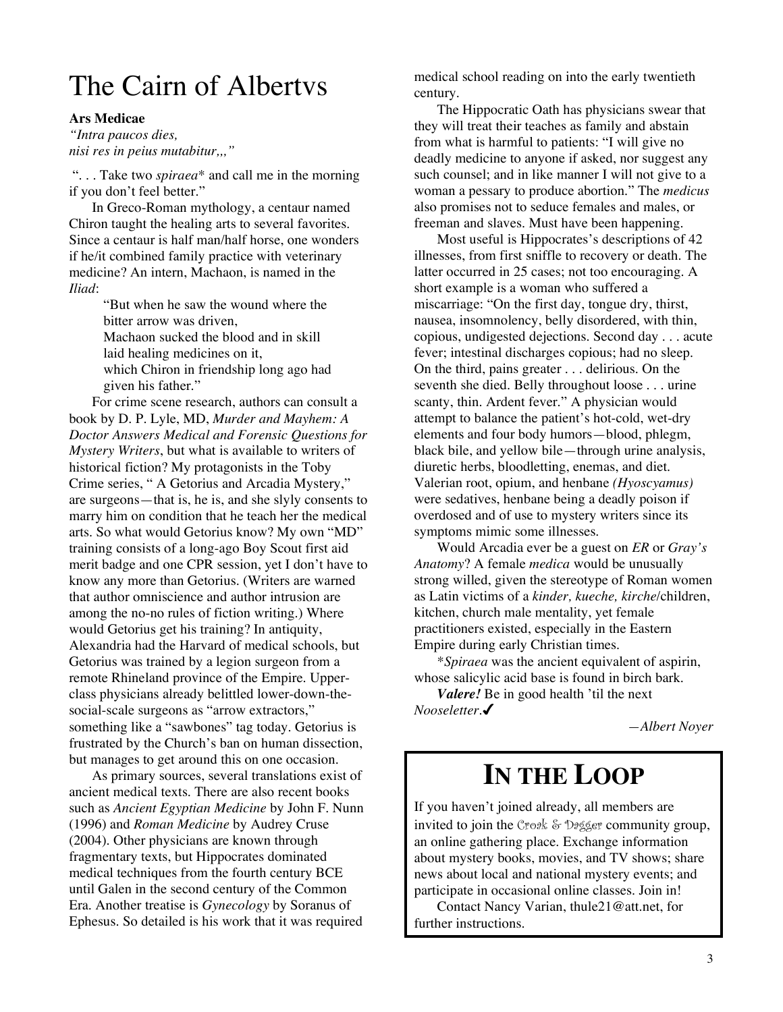## The Cairn of Albertvs

#### **Ars Medicae**

*"Intra paucos dies, nisi res in peius mutabitur,,,"*

". . . Take two *spiraea*\* and call me in the morning if you don't feel better."

In Greco-Roman mythology, a centaur named Chiron taught the healing arts to several favorites. Since a centaur is half man/half horse, one wonders if he/it combined family practice with veterinary medicine? An intern, Machaon, is named in the *Iliad*:

> "But when he saw the wound where the bitter arrow was driven, Machaon sucked the blood and in skill laid healing medicines on it, which Chiron in friendship long ago had given his father."

For crime scene research, authors can consult a book by D. P. Lyle, MD, *Murder and Mayhem: A Doctor Answers Medical and Forensic Questions for Mystery Writers*, but what is available to writers of historical fiction? My protagonists in the Toby Crime series, " A Getorius and Arcadia Mystery," are surgeons—that is, he is, and she slyly consents to marry him on condition that he teach her the medical arts. So what would Getorius know? My own "MD" training consists of a long-ago Boy Scout first aid merit badge and one CPR session, yet I don't have to know any more than Getorius. (Writers are warned that author omniscience and author intrusion are among the no-no rules of fiction writing.) Where would Getorius get his training? In antiquity, Alexandria had the Harvard of medical schools, but Getorius was trained by a legion surgeon from a remote Rhineland province of the Empire. Upperclass physicians already belittled lower-down-thesocial-scale surgeons as "arrow extractors," something like a "sawbones" tag today. Getorius is frustrated by the Church's ban on human dissection, but manages to get around this on one occasion.

As primary sources, several translations exist of ancient medical texts. There are also recent books such as *Ancient Egyptian Medicine* by John F. Nunn (1996) and *Roman Medicine* by Audrey Cruse (2004). Other physicians are known through fragmentary texts, but Hippocrates dominated medical techniques from the fourth century BCE until Galen in the second century of the Common Era. Another treatise is *Gynecology* by Soranus of Ephesus. So detailed is his work that it was required

medical school reading on into the early twentieth century.

The Hippocratic Oath has physicians swear that they will treat their teaches as family and abstain from what is harmful to patients: "I will give no deadly medicine to anyone if asked, nor suggest any such counsel; and in like manner I will not give to a woman a pessary to produce abortion." The *medicus* also promises not to seduce females and males, or freeman and slaves. Must have been happening.

Most useful is Hippocrates's descriptions of 42 illnesses, from first sniffle to recovery or death. The latter occurred in 25 cases; not too encouraging. A short example is a woman who suffered a miscarriage: "On the first day, tongue dry, thirst, nausea, insomnolency, belly disordered, with thin, copious, undigested dejections. Second day . . . acute fever; intestinal discharges copious; had no sleep. On the third, pains greater . . . delirious. On the seventh she died. Belly throughout loose . . . urine scanty, thin. Ardent fever." A physician would attempt to balance the patient's hot-cold, wet-dry elements and four body humors—blood, phlegm, black bile, and yellow bile—through urine analysis, diuretic herbs, bloodletting, enemas, and diet. Valerian root, opium, and henbane *(Hyoscyamus)* were sedatives, henbane being a deadly poison if overdosed and of use to mystery writers since its symptoms mimic some illnesses.

Would Arcadia ever be a guest on *ER* or *Gray's Anatomy*? A female *medica* would be unusually strong willed, given the stereotype of Roman women as Latin victims of a *kinder, kueche, kirche*/children, kitchen, church male mentality, yet female practitioners existed, especially in the Eastern Empire during early Christian times.

\**Spiraea* was the ancient equivalent of aspirin, whose salicylic acid base is found in birch bark.

*Valere!* Be in good health 'til the next *Nooseletter*.

*—Albert Noyer*

## **IN THE LOOP**

If you haven't joined already, all members are invited to join the Croak & Dagger community group, an online gathering place. Exchange information about mystery books, movies, and TV shows; share news about local and national mystery events; and participate in occasional online classes. Join in!

Contact Nancy Varian, thule21@att.net, for further instructions.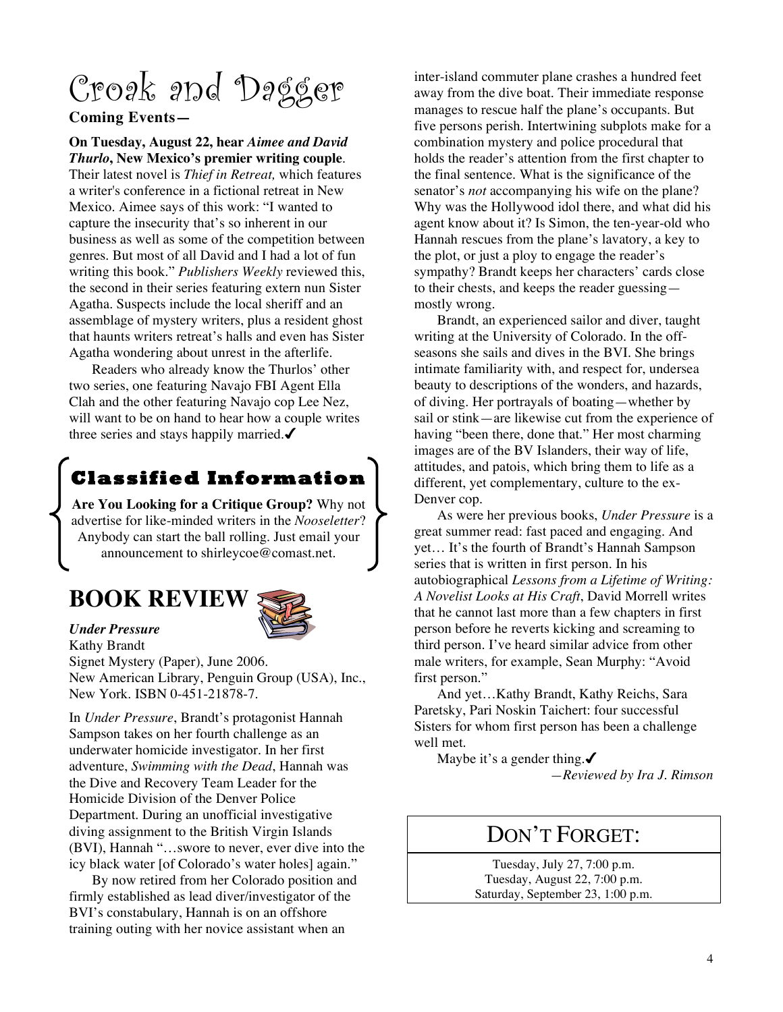# Croak and Dagger

### **Coming Events—**

### **On Tuesday, August 22, hear** *Aimee and David*

*Thurlo***, New Mexico's premier writing couple**. Their latest novel is *Thief in Retreat,* which features a writer's conference in a fictional retreat in New Mexico. Aimee says of this work: "I wanted to capture the insecurity that's so inherent in our business as well as some of the competition between genres. But most of all David and I had a lot of fun writing this book." *Publishers Weekly* reviewed this, the second in their series featuring extern nun Sister Agatha. Suspects include the local sheriff and an assemblage of mystery writers, plus a resident ghost that haunts writers retreat's halls and even has Sister Agatha wondering about unrest in the afterlife.

Readers who already know the Thurlos' other two series, one featuring Navajo FBI Agent Ella Clah and the other featuring Navajo cop Lee Nez, will want to be on hand to hear how a couple writes three series and stays happily married. $\checkmark$ 

### **Classified Information**

**Are You Looking for a Critique Group?** Why not advertise for like-minded writers in the *Nooseletter*? Anybody can start the ball rolling. Just email your announcement to shirleycoe@comast.net.

## **BOOK REVIEW**



*Under Pressure* Kathy Brandt

Signet Mystery (Paper), June 2006. New American Library, Penguin Group (USA), Inc., New York. ISBN 0-451-21878-7.

In *Under Pressure*, Brandt's protagonist Hannah Sampson takes on her fourth challenge as an underwater homicide investigator. In her first adventure, *Swimming with the Dead*, Hannah was the Dive and Recovery Team Leader for the Homicide Division of the Denver Police Department. During an unofficial investigative diving assignment to the British Virgin Islands (BVI), Hannah "…swore to never, ever dive into the icy black water [of Colorado's water holes] again."

By now retired from her Colorado position and firmly established as lead diver/investigator of the BVI's constabulary, Hannah is on an offshore training outing with her novice assistant when an

inter-island commuter plane crashes a hundred feet away from the dive boat. Their immediate response manages to rescue half the plane's occupants. But five persons perish. Intertwining subplots make for a combination mystery and police procedural that holds the reader's attention from the first chapter to the final sentence. What is the significance of the senator's *not* accompanying his wife on the plane? Why was the Hollywood idol there, and what did his agent know about it? Is Simon, the ten-year-old who Hannah rescues from the plane's lavatory, a key to the plot, or just a ploy to engage the reader's sympathy? Brandt keeps her characters' cards close to their chests, and keeps the reader guessing mostly wrong.

Brandt, an experienced sailor and diver, taught writing at the University of Colorado. In the offseasons she sails and dives in the BVI. She brings intimate familiarity with, and respect for, undersea beauty to descriptions of the wonders, and hazards, of diving. Her portrayals of boating—whether by sail or stink—are likewise cut from the experience of having "been there, done that." Her most charming images are of the BV Islanders, their way of life, attitudes, and patois, which bring them to life as a different, yet complementary, culture to the ex-Denver cop.

As were her previous books, *Under Pressure* is a great summer read: fast paced and engaging. And yet… It's the fourth of Brandt's Hannah Sampson series that is written in first person. In his autobiographical *Lessons from a Lifetime of Writing: A Novelist Looks at His Craft*, David Morrell writes that he cannot last more than a few chapters in first person before he reverts kicking and screaming to third person. I've heard similar advice from other male writers, for example, Sean Murphy: "Avoid first person."

And yet…Kathy Brandt, Kathy Reichs, Sara Paretsky, Pari Noskin Taichert: four successful Sisters for whom first person has been a challenge well met.

Maybe it's a gender thing.  $\checkmark$ *—Reviewed by Ira J. Rimson*

## DON'T FORGET:

Tuesday, July 27, 7:00 p.m. Tuesday, August 22, 7:00 p.m. Saturday, September 23, 1:00 p.m.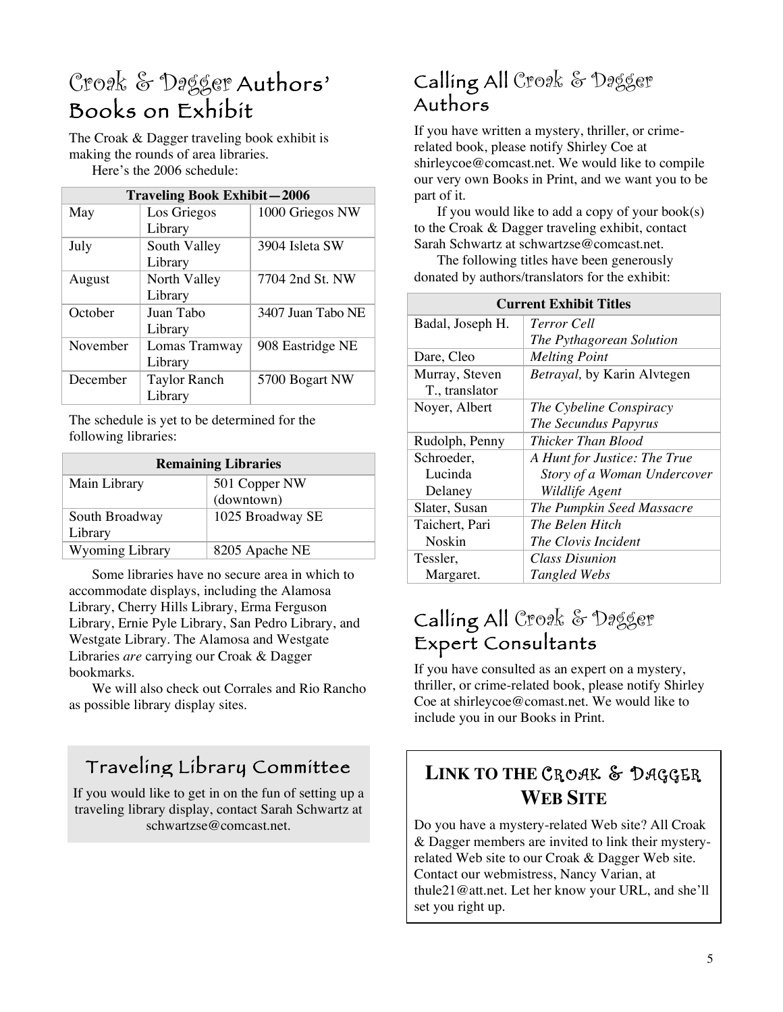## Croak & Dagger Authors' Books on Exhibit

The Croak & Dagger traveling book exhibit is making the rounds of area libraries. Here's the 2006 schedule:

| <b>Traveling Book Exhibit-2006</b> |                     |                   |
|------------------------------------|---------------------|-------------------|
| May                                | Los Griegos         | 1000 Griegos NW   |
|                                    | Library             |                   |
| July                               | South Valley        | 3904 Isleta SW    |
|                                    | Library             |                   |
| August                             | North Valley        | 7704 2nd St. NW   |
|                                    | Library             |                   |
| October                            | Juan Tabo           | 3407 Juan Tabo NE |
|                                    | Library             |                   |
| November                           | Lomas Tramway       | 908 Eastridge NE  |
|                                    | Library             |                   |
| December                           | <b>Taylor Ranch</b> | 5700 Bogart NW    |
|                                    | Library             |                   |

The schedule is yet to be determined for the following libraries:

| <b>Remaining Libraries</b> |                  |  |
|----------------------------|------------------|--|
| Main Library               | 501 Copper NW    |  |
|                            | (downtown)       |  |
| South Broadway             | 1025 Broadway SE |  |
| Library                    |                  |  |
| <b>Wyoming Library</b>     | 8205 Apache NE   |  |

Some libraries have no secure area in which to accommodate displays, including the Alamosa Library, Cherry Hills Library, Erma Ferguson Library, Ernie Pyle Library, San Pedro Library, and Westgate Library. The Alamosa and Westgate Libraries *are* carrying our Croak & Dagger bookmarks.

We will also check out Corrales and Rio Rancho as possible library display sites.

## Traveling Library Committee

If you would like to get in on the fun of setting up a traveling library display, contact Sarah Schwartz at schwartzse@comcast.net.

## Calling All Croak & Dagger Authors

If you have written a mystery, thriller, or crimerelated book, please notify Shirley Coe at shirleycoe@comcast.net. We would like to compile our very own Books in Print, and we want you to be part of it.

If you would like to add a copy of your book(s) to the Croak & Dagger traveling exhibit, contact Sarah Schwartz at schwartzse@comcast.net.

The following titles have been generously donated by authors/translators for the exhibit:

| <b>Current Exhibit Titles</b> |                              |  |
|-------------------------------|------------------------------|--|
| Badal, Joseph H.              | Terror Cell                  |  |
|                               | The Pythagorean Solution     |  |
| Dare, Cleo                    | <b>Melting Point</b>         |  |
| Murray, Steven                | Betrayal, by Karin Alvtegen  |  |
| T., translator                |                              |  |
| Noyer, Albert                 | The Cybeline Conspiracy      |  |
|                               | The Secundus Papyrus         |  |
| Rudolph, Penny                | Thicker Than Blood           |  |
| Schroeder,                    | A Hunt for Justice: The True |  |
| Lucinda                       | Story of a Woman Undercover  |  |
| Delaney                       | Wildlife Agent               |  |
| Slater, Susan                 | The Pumpkin Seed Massacre    |  |
| Taichert, Pari                | The Belen Hitch              |  |
| <b>Noskin</b>                 | The Clovis Incident          |  |
| Tessler,                      | <b>Class Disunion</b>        |  |
| Margaret.                     | <b>Tangled Webs</b>          |  |

## Calling All Croak & Dagger Expert Consultants

If you have consulted as an expert on a mystery, thriller, or crime-related book, please notify Shirley Coe at shirleycoe@comast.net. We would like to include you in our Books in Print.

### LINK TO THE CROAK & DAGGER **WEB SITE**

Do you have a mystery-related Web site? All Croak & Dagger members are invited to link their mysteryrelated Web site to our Croak & Dagger Web site. Contact our webmistress, Nancy Varian, at thule21@att.net. Let her know your URL, and she'll set you right up.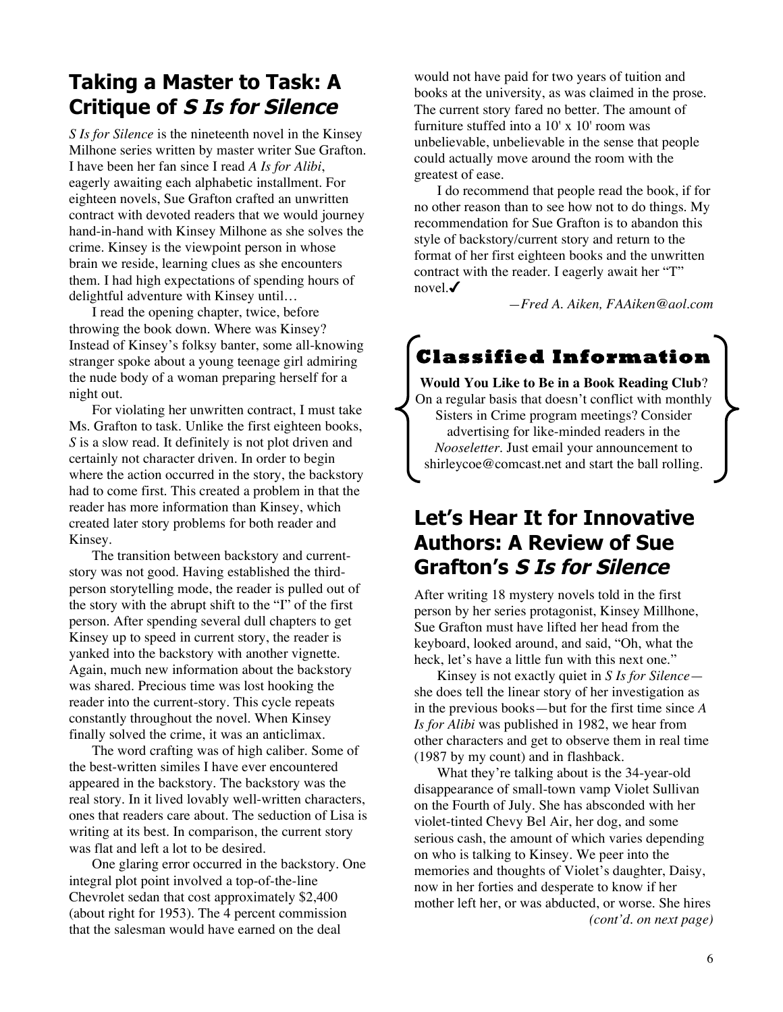### **Taking a Master to Task: A Critique of S Is for Silence**

*S Is for Silence* is the nineteenth novel in the Kinsey Milhone series written by master writer Sue Grafton. I have been her fan since I read *A Is for Alibi*, eagerly awaiting each alphabetic installment. For eighteen novels, Sue Grafton crafted an unwritten contract with devoted readers that we would journey hand-in-hand with Kinsey Milhone as she solves the crime. Kinsey is the viewpoint person in whose brain we reside, learning clues as she encounters them. I had high expectations of spending hours of delightful adventure with Kinsey until…

I read the opening chapter, twice, before throwing the book down. Where was Kinsey? Instead of Kinsey's folksy banter, some all-knowing stranger spoke about a young teenage girl admiring the nude body of a woman preparing herself for a night out.

For violating her unwritten contract, I must take Ms. Grafton to task. Unlike the first eighteen books, *S* is a slow read. It definitely is not plot driven and certainly not character driven. In order to begin where the action occurred in the story, the backstory had to come first. This created a problem in that the reader has more information than Kinsey, which created later story problems for both reader and Kinsey.

The transition between backstory and currentstory was not good. Having established the thirdperson storytelling mode, the reader is pulled out of the story with the abrupt shift to the "I" of the first person. After spending several dull chapters to get Kinsey up to speed in current story, the reader is yanked into the backstory with another vignette. Again, much new information about the backstory was shared. Precious time was lost hooking the reader into the current-story. This cycle repeats constantly throughout the novel. When Kinsey finally solved the crime, it was an anticlimax.

The word crafting was of high caliber. Some of the best-written similes I have ever encountered appeared in the backstory. The backstory was the real story. In it lived lovably well-written characters, ones that readers care about. The seduction of Lisa is writing at its best. In comparison, the current story was flat and left a lot to be desired.

One glaring error occurred in the backstory. One integral plot point involved a top-of-the-line Chevrolet sedan that cost approximately \$2,400 (about right for 1953). The 4 percent commission that the salesman would have earned on the deal

would not have paid for two years of tuition and books at the university, as was claimed in the prose. The current story fared no better. The amount of furniture stuffed into a 10' x 10' room was unbelievable, unbelievable in the sense that people could actually move around the room with the greatest of ease.

I do recommend that people read the book, if for no other reason than to see how not to do things. My recommendation for Sue Grafton is to abandon this style of backstory/current story and return to the format of her first eighteen books and the unwritten contract with the reader. I eagerly await her "T" novel  $\boldsymbol{\checkmark}$ 

*—Fred A. Aiken, FAAiken@aol.com*

### **Classified Information**

**Would You Like to Be in a Book Reading Club**? On a regular basis that doesn't conflict with monthly Sisters in Crime program meetings? Consider advertising for like-minded readers in the *Nooseletter*. Just email your announcement to shirleycoe@comcast.net and start the ball rolling.

### **Let's Hear It for Innovative Authors: A Review of Sue Grafton's S Is for Silence**

After writing 18 mystery novels told in the first person by her series protagonist, Kinsey Millhone, Sue Grafton must have lifted her head from the keyboard, looked around, and said, "Oh, what the heck, let's have a little fun with this next one."

Kinsey is not exactly quiet in *S Is for Silence* she does tell the linear story of her investigation as in the previous books—but for the first time since *A Is for Alibi* was published in 1982, we hear from other characters and get to observe them in real time (1987 by my count) and in flashback.

What they're talking about is the 34-year-old disappearance of small-town vamp Violet Sullivan on the Fourth of July. She has absconded with her violet-tinted Chevy Bel Air, her dog, and some serious cash, the amount of which varies depending on who is talking to Kinsey. We peer into the memories and thoughts of Violet's daughter, Daisy, now in her forties and desperate to know if her mother left her, or was abducted, or worse. She hires *(cont'd. on next page)*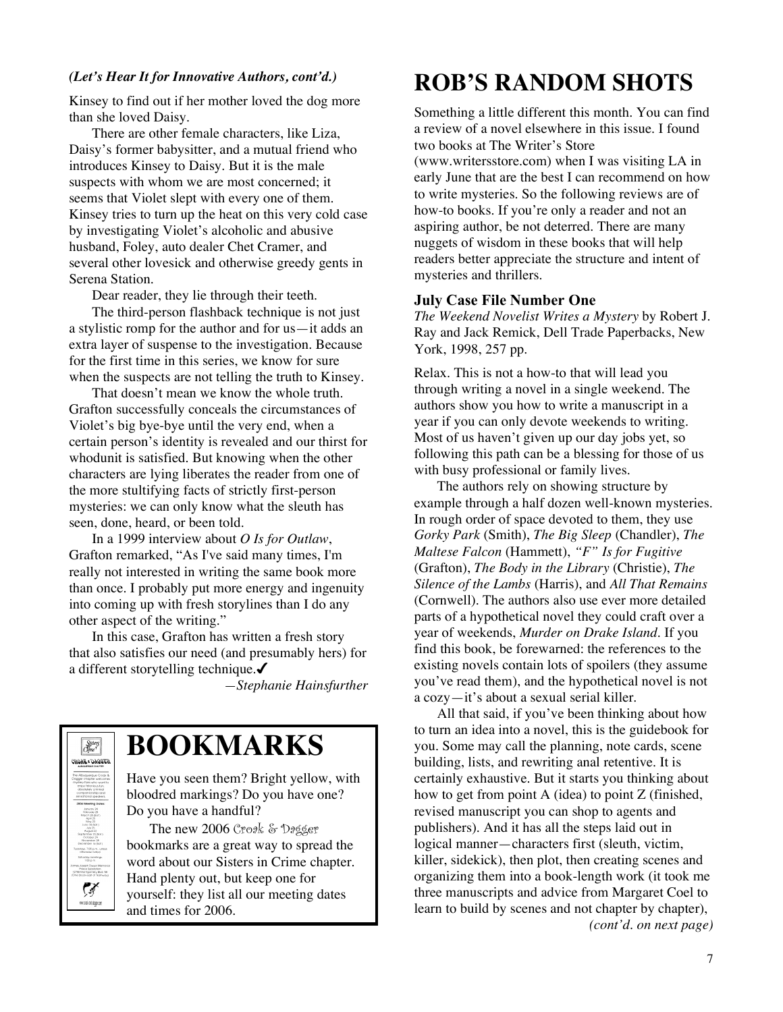#### *(Let's Hear It for Innovative Authors, cont'd.)*

Kinsey to find out if her mother loved the dog more than she loved Daisy.

There are other female characters, like Liza, Daisy's former babysitter, and a mutual friend who introduces Kinsey to Daisy. But it is the male suspects with whom we are most concerned; it seems that Violet slept with every one of them. Kinsey tries to turn up the heat on this very cold case by investigating Violet's alcoholic and abusive husband, Foley, auto dealer Chet Cramer, and several other lovesick and otherwise greedy gents in Serena Station.

Dear reader, they lie through their teeth.

The third-person flashback technique is not just a stylistic romp for the author and for us—it adds an extra layer of suspense to the investigation. Because for the first time in this series, we know for sure when the suspects are not telling the truth to Kinsey.

That doesn't mean we know the whole truth. Grafton successfully conceals the circumstances of Violet's big bye-bye until the very end, when a certain person's identity is revealed and our thirst for whodunit is satisfied. But knowing when the other characters are lying liberates the reader from one of the more stultifying facts of strictly first-person mysteries: we can only know what the sleuth has seen, done, heard, or been told.

In a 1999 interview about *O Is for Outlaw*, Grafton remarked, "As I've said many times, I'm really not interested in writing the same book more than once. I probably put more energy and ingenuity into coming up with fresh storylines than I do any other aspect of the writing."

In this case, Grafton has written a fresh story that also satisfies our need (and presumably hers) for a different storytelling technique.

*—Stephanie Hainsfurther*

## **BOOKMARKS**

 $\frac{S_{\text{S}}}{C_{\text{S}}^{S}}$ 6300AC <mark>*4 8A08*3</mark>

> Çř .<br>micosket buas co

Have you seen them? Bright yellow, with bloodred markings? Do you have one? Do you have a handful?

The new 2006 Croak & Dagger bookmarks are a great way to spread the word about our Sisters in Crime chapter. Hand plenty out, but keep one for yourself: they list all our meeting dates and times for 2006.

## **ROB'S RANDOM SHOTS**

Something a little different this month. You can find a review of a novel elsewhere in this issue. I found two books at The Writer's Store (www.writersstore.com) when I was visiting LA in early June that are the best I can recommend on how to write mysteries. So the following reviews are of how-to books. If you're only a reader and not an aspiring author, be not deterred. There are many nuggets of wisdom in these books that will help readers better appreciate the structure and intent of mysteries and thrillers.

#### **July Case File Number One**

*The Weekend Novelist Writes a Mystery* by Robert J. Ray and Jack Remick, Dell Trade Paperbacks, New York, 1998, 257 pp.

Relax. This is not a how-to that will lead you through writing a novel in a single weekend. The authors show you how to write a manuscript in a year if you can only devote weekends to writing. Most of us haven't given up our day jobs yet, so following this path can be a blessing for those of us with busy professional or family lives.

The authors rely on showing structure by example through a half dozen well-known mysteries. In rough order of space devoted to them, they use *Gorky Park* (Smith), *The Big Sleep* (Chandler), *The Maltese Falcon* (Hammett), *"F" Is for Fugitive* (Grafton), *The Body in the Library* (Christie), *The Silence of the Lambs* (Harris), and *All That Remains* (Cornwell). The authors also use ever more detailed parts of a hypothetical novel they could craft over a year of weekends, *Murder on Drake Island*. If you find this book, be forewarned: the references to the existing novels contain lots of spoilers (they assume you've read them), and the hypothetical novel is not a cozy—it's about a sexual serial killer.

All that said, if you've been thinking about how to turn an idea into a novel, this is the guidebook for you. Some may call the planning, note cards, scene building, lists, and rewriting anal retentive. It is certainly exhaustive. But it starts you thinking about how to get from point A (idea) to point Z (finished, revised manuscript you can shop to agents and publishers). And it has all the steps laid out in logical manner—characters first (sleuth, victim, killer, sidekick), then plot, then creating scenes and organizing them into a book-length work (it took me three manuscripts and advice from Margaret Coel to learn to build by scenes and not chapter by chapter), *(cont'd. on next page)*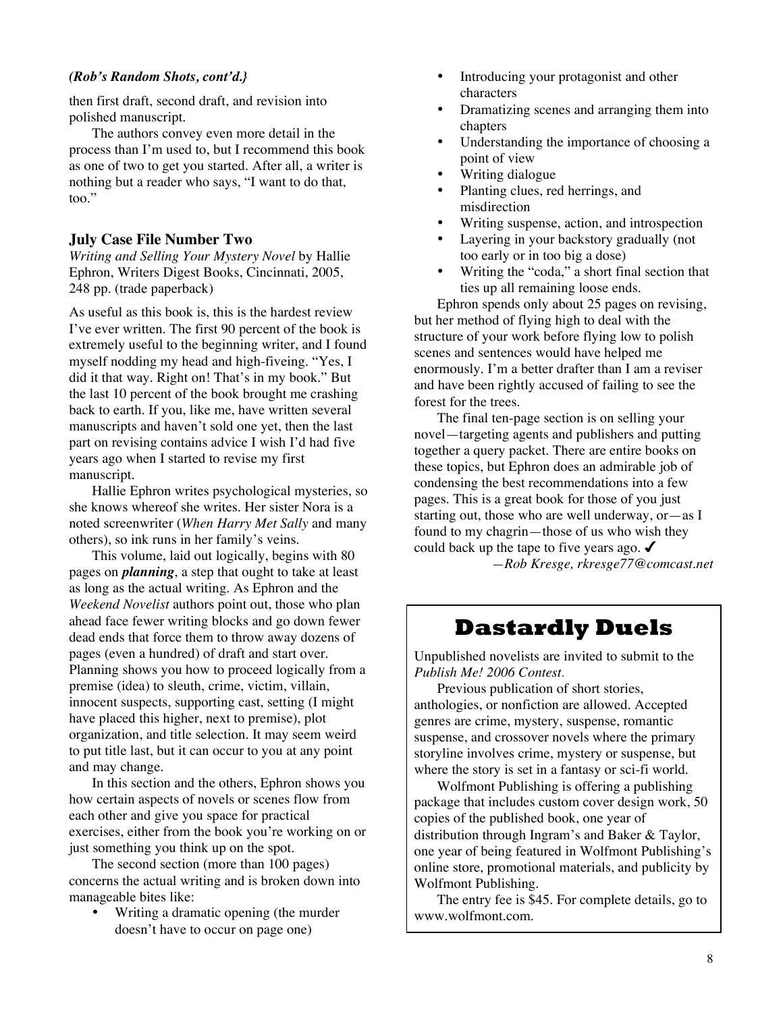#### *(Rob's Random Shots, cont'd.}*

then first draft, second draft, and revision into polished manuscript.

The authors convey even more detail in the process than I'm used to, but I recommend this book as one of two to get you started. After all, a writer is nothing but a reader who says, "I want to do that, too."

#### **July Case File Number Two**

*Writing and Selling Your Mystery Novel* by Hallie Ephron, Writers Digest Books, Cincinnati, 2005, 248 pp. (trade paperback)

As useful as this book is, this is the hardest review I've ever written. The first 90 percent of the book is extremely useful to the beginning writer, and I found myself nodding my head and high-fiveing. "Yes, I did it that way. Right on! That's in my book." But the last 10 percent of the book brought me crashing back to earth. If you, like me, have written several manuscripts and haven't sold one yet, then the last part on revising contains advice I wish I'd had five years ago when I started to revise my first manuscript.

Hallie Ephron writes psychological mysteries, so she knows whereof she writes. Her sister Nora is a noted screenwriter (*When Harry Met Sally* and many others), so ink runs in her family's veins.

This volume, laid out logically, begins with 80 pages on *planning*, a step that ought to take at least as long as the actual writing. As Ephron and the *Weekend Novelist* authors point out, those who plan ahead face fewer writing blocks and go down fewer dead ends that force them to throw away dozens of pages (even a hundred) of draft and start over. Planning shows you how to proceed logically from a premise (idea) to sleuth, crime, victim, villain, innocent suspects, supporting cast, setting (I might have placed this higher, next to premise), plot organization, and title selection. It may seem weird to put title last, but it can occur to you at any point and may change.

In this section and the others, Ephron shows you how certain aspects of novels or scenes flow from each other and give you space for practical exercises, either from the book you're working on or just something you think up on the spot.

The second section (more than 100 pages) concerns the actual writing and is broken down into manageable bites like:

• Writing a dramatic opening (the murder doesn't have to occur on page one)

- Introducing your protagonist and other characters
- Dramatizing scenes and arranging them into chapters
- Understanding the importance of choosing a point of view
- Writing dialogue
- Planting clues, red herrings, and misdirection
- Writing suspense, action, and introspection
- Layering in your backstory gradually (not too early or in too big a dose)
- Writing the "coda," a short final section that ties up all remaining loose ends.

Ephron spends only about 25 pages on revising, but her method of flying high to deal with the structure of your work before flying low to polish scenes and sentences would have helped me enormously. I'm a better drafter than I am a reviser and have been rightly accused of failing to see the forest for the trees.

The final ten-page section is on selling your novel—targeting agents and publishers and putting together a query packet. There are entire books on these topics, but Ephron does an admirable job of condensing the best recommendations into a few pages. This is a great book for those of you just starting out, those who are well underway, or—as I found to my chagrin—those of us who wish they could back up the tape to five years ago.  $\checkmark$ 

*—Rob Kresge, rkresge77@comcast.net*

### **Dastardly Duels**

Unpublished novelists are invited to submit to the *Publish Me! 2006 Contest*.

Previous publication of short stories, anthologies, or nonfiction are allowed. Accepted genres are crime, mystery, suspense, romantic suspense, and crossover novels where the primary storyline involves crime, mystery or suspense, but where the story is set in a fantasy or sci-fi world.

Wolfmont Publishing is offering a publishing package that includes custom cover design work, 50 copies of the published book, one year of distribution through Ingram's and Baker & Taylor, one year of being featured in Wolfmont Publishing's online store, promotional materials, and publicity by Wolfmont Publishing.

The entry fee is \$45. For complete details, go to www.wolfmont.com.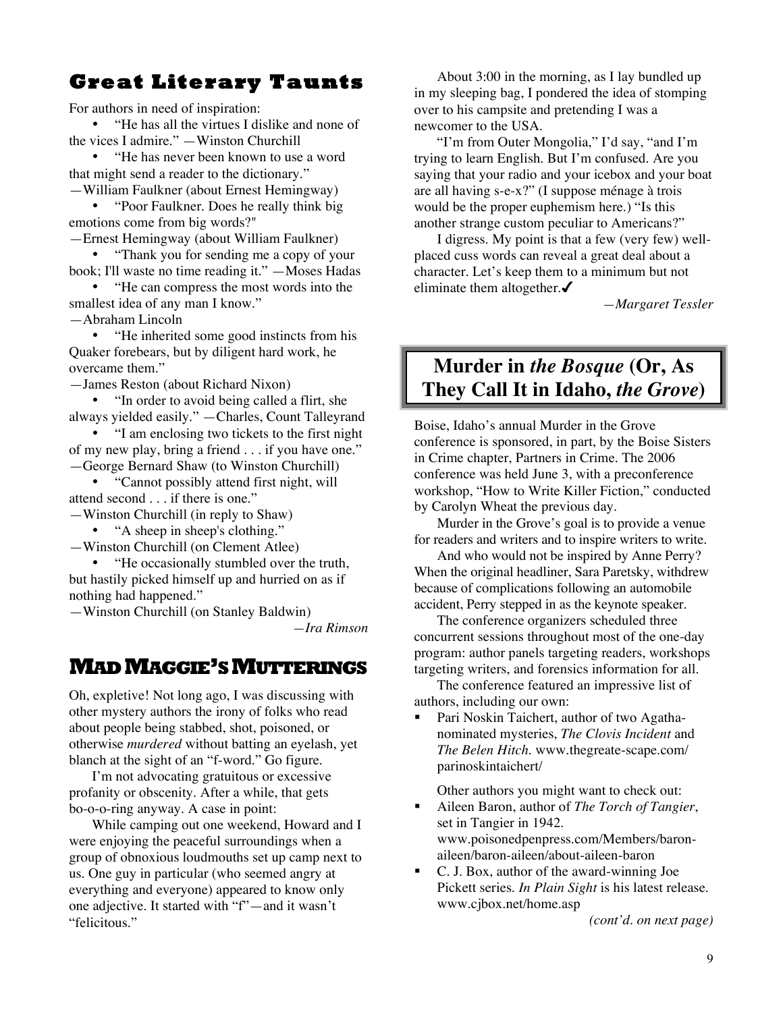### **Great Literary Taunts**

For authors in need of inspiration:

• "He has all the virtues I dislike and none of the vices I admire." —Winston Churchill

• "He has never been known to use a word that might send a reader to the dictionary."

—William Faulkner (about Ernest Hemingway) • "Poor Faulkner. Does he really think big emotions come from big words?"

—Ernest Hemingway (about William Faulkner)

• "Thank you for sending me a copy of your" book; I'll waste no time reading it." —Moses Hadas

• "He can compress the most words into the smallest idea of any man I know."

—Abraham Lincoln

• "He inherited some good instincts from his Quaker forebears, but by diligent hard work, he overcame them."

—James Reston (about Richard Nixon)

• "In order to avoid being called a flirt, she always yielded easily." —Charles, Count Talleyrand

• "I am enclosing two tickets to the first night of my new play, bring a friend . . . if you have one." —George Bernard Shaw (to Winston Churchill)

• "Cannot possibly attend first night, will attend second . . . if there is one."

—Winston Churchill (in reply to Shaw)

• "A sheep in sheep's clothing."

—Winston Churchill (on Clement Atlee)

• "He occasionally stumbled over the truth, but hastily picked himself up and hurried on as if nothing had happened."

—Winston Churchill (on Stanley Baldwin)

*—Ira Rimson*

### **MADMAGGIE'SMUTTERINGS**

Oh, expletive! Not long ago, I was discussing with other mystery authors the irony of folks who read about people being stabbed, shot, poisoned, or otherwise *murdered* without batting an eyelash, yet blanch at the sight of an "f-word." Go figure.

I'm not advocating gratuitous or excessive profanity or obscenity. After a while, that gets bo-o-o-ring anyway. A case in point:

While camping out one weekend, Howard and I were enjoying the peaceful surroundings when a group of obnoxious loudmouths set up camp next to us. One guy in particular (who seemed angry at everything and everyone) appeared to know only one adjective. It started with "f"—and it wasn't "felicitous."

About 3:00 in the morning, as I lay bundled up in my sleeping bag, I pondered the idea of stomping over to his campsite and pretending I was a newcomer to the USA.

"I'm from Outer Mongolia," I'd say, "and I'm trying to learn English. But I'm confused. Are you saying that your radio and your icebox and your boat are all having s-e-x?" (I suppose ménage à trois would be the proper euphemism here.) "Is this another strange custom peculiar to Americans?"

I digress. My point is that a few (very few) wellplaced cuss words can reveal a great deal about a character. Let's keep them to a minimum but not eliminate them altogether. $\checkmark$ 

*—Margaret Tessler*

### **Murder in** *the Bosque* **(Or, As They Call It in Idaho,** *the Grove***)**

Boise, Idaho's annual Murder in the Grove conference is sponsored, in part, by the Boise Sisters in Crime chapter, Partners in Crime. The 2006 conference was held June 3, with a preconference workshop, "How to Write Killer Fiction," conducted by Carolyn Wheat the previous day.

Murder in the Grove's goal is to provide a venue for readers and writers and to inspire writers to write.

And who would not be inspired by Anne Perry? When the original headliner, Sara Paretsky, withdrew because of complications following an automobile accident, Perry stepped in as the keynote speaker.

The conference organizers scheduled three concurrent sessions throughout most of the one-day program: author panels targeting readers, workshops targeting writers, and forensics information for all.

The conference featured an impressive list of authors, including our own:

**Pari Noskin Taichert, author of two Agatha**nominated mysteries, *The Clovis Incident* and *The Belen Hitch*. www.thegreate-scape.com/ parinoskintaichert/

Other authors you might want to check out:

- Aileen Baron, author of *The Torch of Tangier*, set in Tangier in 1942. www.poisonedpenpress.com/Members/baronaileen/baron-aileen/about-aileen-baron
- C. J. Box, author of the award-winning Joe Pickett series. *In Plain Sight* is his latest release. www.cjbox.net/home.asp

*(cont'd. on next page)*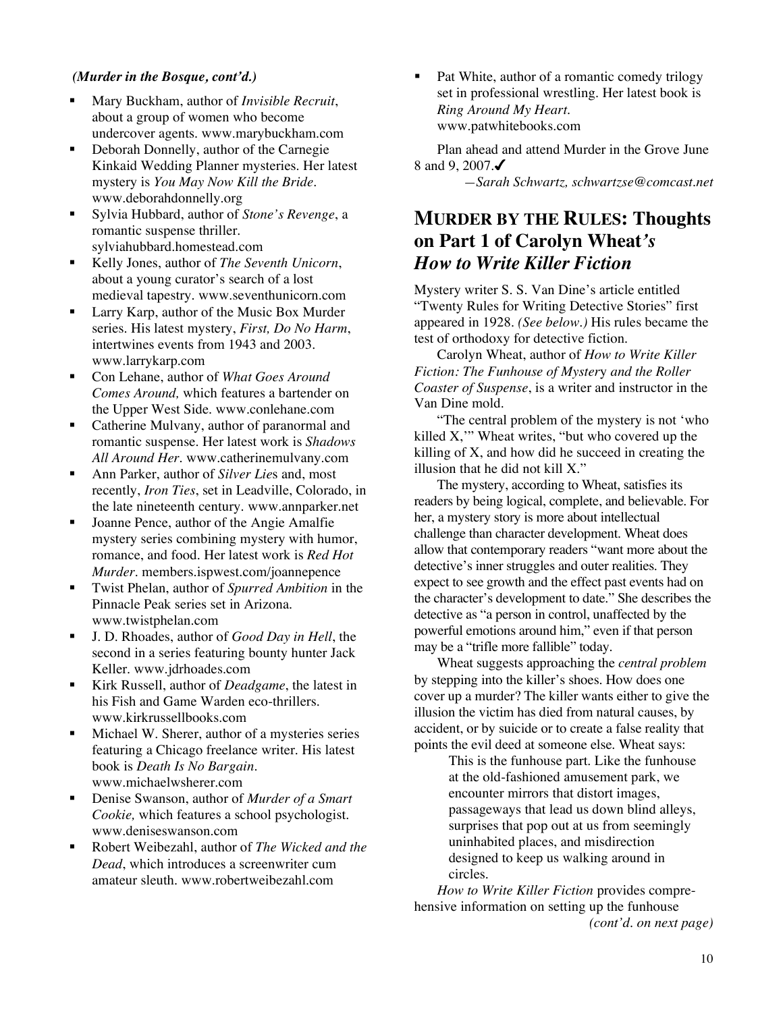#### *(Murder in the Bosque, cont'd.)*

- Mary Buckham, author of *Invisible Recruit*, about a group of women who become undercover agents. www.marybuckham.com
- Deborah Donnelly, author of the Carnegie Kinkaid Wedding Planner mysteries. Her latest mystery is *You May Now Kill the Bride*. www.deborahdonnelly.org
- Sylvia Hubbard, author of *Stone's Revenge*, a romantic suspense thriller. sylviahubbard.homestead.com
- Kelly Jones, author of *The Seventh Unicorn*, about a young curator's search of a lost medieval tapestry. www.seventhunicorn.com
- Larry Karp, author of the Music Box Murder series. His latest mystery, *First, Do No Harm*, intertwines events from 1943 and 2003. www.larrykarp.com
- Con Lehane, author of *What Goes Around Comes Around,* which features a bartender on the Upper West Side. www.conlehane.com
- Catherine Mulvany, author of paranormal and romantic suspense. Her latest work is *Shadows All Around Her*. www.catherinemulvany.com
- Ann Parker, author of *Silver Lies* and, most recently, *Iron Ties*, set in Leadville, Colorado, in the late nineteenth century. www.annparker.net
- Joanne Pence, author of the Angie Amalfie mystery series combining mystery with humor, romance, and food. Her latest work is *Red Hot Murder*. members.ispwest.com/joannepence
- Twist Phelan, author of *Spurred Ambition* in the Pinnacle Peak series set in Arizona. www.twistphelan.com
- J. D. Rhoades, author of *Good Day in Hell*, the second in a series featuring bounty hunter Jack Keller. www.jdrhoades.com
- Kirk Russell, author of *Deadgame*, the latest in his Fish and Game Warden eco-thrillers. www.kirkrussellbooks.com
- **Michael W. Sherer, author of a mysteries series** featuring a Chicago freelance writer. His latest book is *Death Is No Bargain*. www.michaelwsherer.com
- Denise Swanson, author of *Murder* of *a Smart Cookie,* which features a school psychologist. www.deniseswanson.com
- Robert Weibezahl, author of *The Wicked and the Dead*, which introduces a screenwriter cum amateur sleuth. www.robertweibezahl.com

■ Pat White, author of a romantic comedy trilogy set in professional wrestling. Her latest book is *Ring Around My Heart*. www.patwhitebooks.com

Plan ahead and attend Murder in the Grove June 8 and 9, 2007.**√** 

*—Sarah Schwartz, schwartzse@comcast.net*

### **MURDER BY THE RULES: Thoughts on Part 1 of Carolyn Wheat***'s How to Write Killer Fiction*

Mystery writer S. S. Van Dine's article entitled "Twenty Rules for Writing Detective Stories" first appeared in 1928. *(See below.)* His rules became the test of orthodoxy for detective fiction.

Carolyn Wheat, author of *How to Write Killer Fiction: The Funhouse of Myster*y *and the Roller Coaster of Suspense*, is a writer and instructor in the Van Dine mold.

"The central problem of the mystery is not 'who killed X,'" Wheat writes, "but who covered up the killing of X, and how did he succeed in creating the illusion that he did not kill X."

The mystery, according to Wheat, satisfies its readers by being logical, complete, and believable. For her, a mystery story is more about intellectual challenge than character development. Wheat does allow that contemporary readers "want more about the detective's inner struggles and outer realities. They expect to see growth and the effect past events had on the character's development to date." She describes the detective as "a person in control, unaffected by the powerful emotions around him," even if that person may be a "trifle more fallible" today.

Wheat suggests approaching the *central problem* by stepping into the killer's shoes. How does one cover up a murder? The killer wants either to give the illusion the victim has died from natural causes, by accident, or by suicide or to create a false reality that points the evil deed at someone else. Wheat says:

This is the funhouse part. Like the funhouse at the old-fashioned amusement park, we encounter mirrors that distort images, passageways that lead us down blind alleys, surprises that pop out at us from seemingly uninhabited places, and misdirection designed to keep us walking around in circles.

*How to Write Killer Fiction* provides comprehensive information on setting up the funhouse *(cont'd. on next page)*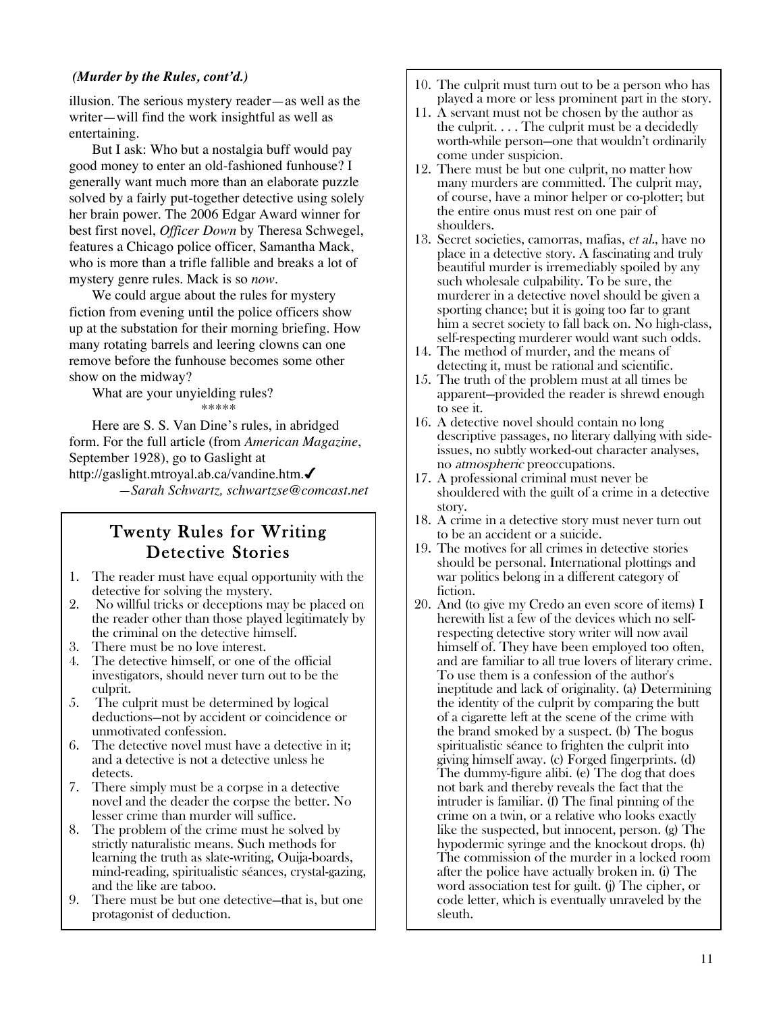#### *(Murder by the Rules, cont'd.)*

illusion. The serious mystery reader—as well as the writer—will find the work insightful as well as entertaining.

But I ask: Who but a nostalgia buff would pay good money to enter an old-fashioned funhouse? I generally want much more than an elaborate puzzle solved by a fairly put-together detective using solely her brain power. The 2006 Edgar Award winner for best first novel, *Officer Down* by Theresa Schwegel, features a Chicago police officer, Samantha Mack, who is more than a trifle fallible and breaks a lot of mystery genre rules. Mack is so *now*.

We could argue about the rules for mystery fiction from evening until the police officers show up at the substation for their morning briefing. How many rotating barrels and leering clowns can one remove before the funhouse becomes some other show on the midway?

What are your unyielding rules? \*\*\*\*\*

Here are S. S. Van Dine's rules, in abridged form. For the full article (from *American Magazine*, September 1928), go to Gaslight at http://gaslight.mtroyal.ab.ca/vandine.htm. *—Sarah Schwartz, schwartzse@comcast.net*

### Twenty Rules for Writing Detective Stories

- 1. The reader must have equal opportunity with the detective for solving the mystery.
- 2. No willful tricks or deceptions may be placed on the reader other than those played legitimately by the criminal on the detective himself.
- 3. There must be no love interest.
- 4. The detective himself, or one of the official investigators, should never turn out to be the culprit.
- 5. The culprit must be determined by logical deductions—not by accident or coincidence or unmotivated confession.
- 6. The detective novel must have a detective in it; and a detective is not a detective unless he detects.
- 7. There simply must be a corpse in a detective novel and the deader the corpse the better. No lesser crime than murder will suffice.
- 8. The problem of the crime must he solved by strictly naturalistic means. Such methods for learning the truth as slate-writing, Ouija-boards, mind-reading, spiritualistic séances, crystal-gazing, and the like are taboo.
- 9. There must be but one detective—that is, but one protagonist of deduction.
- 10. The culprit must turn out to be a person who has played a more or less prominent part in the story.
- 11. A servant must not be chosen by the author as the culprit. . . . The culprit must be a decidedly worth-while person—one that wouldn't ordinarily come under suspicion.
- 12. There must be but one culprit, no matter how many murders are committed. The culprit may, of course, have a minor helper or co-plotter; but the entire onus must rest on one pair of shoulders.
- 13. Secret societies, camorras, mafias, et al., have no place in a detective story. A fascinating and truly beautiful murder is irremediably spoiled by any such wholesale culpability. To be sure, the murderer in a detective novel should be given a sporting chance; but it is going too far to grant him a secret society to fall back on. No high-class, self-respecting murderer would want such odds.
- 14. The method of murder, and the means of detecting it, must be rational and scientific.
- 15. The truth of the problem must at all times be apparent—provided the reader is shrewd enough
- 16. A detective novel should contain no long descriptive passages, no literary dallying with sideissues, no subtly worked-out character analyses, no atmospheric preoccupations.
- 17. A professional criminal must never be shouldered with the guilt of a crime in a detective story.
- 18. A crime in a detective story must never turn out to be an accident or a suicide.
- 19. The motives for all crimes in detective stories should be personal. International plottings and war politics belong in a different category of fiction.
- 20. And (to give my Credo an even score of items) I respecting detective story writer will now avail himself of. They have been employed too often, and are familiar to all true lovers of literary crime. To use them is <sup>a</sup> confession of the author's ineptitude and lack of originality. (a) Determining the identity of the culprit by comparing the butt of a cigarette left at the scene of the crime with the brand smoked by a suspect. (b) The bogus spiritualistic séance to frighten the culprit into giving himself away. (c) Forged fingerprints. (d) The dummy-figure alibi. (e) The dog that does not bark and thereby reveals the fact that the intruder is familiar. (f) The final pinning of the crime on a twin, or a relative who looks exactly like the suspected, but innocent, person. (g) The hypodermic syringe and the knockout drops. (h) The commission of the murder in a locked room after the police have actually broken in. (i) The word association test for guilt. (j) The cipher, or code letter, which is eventually unraveled by the sleuth.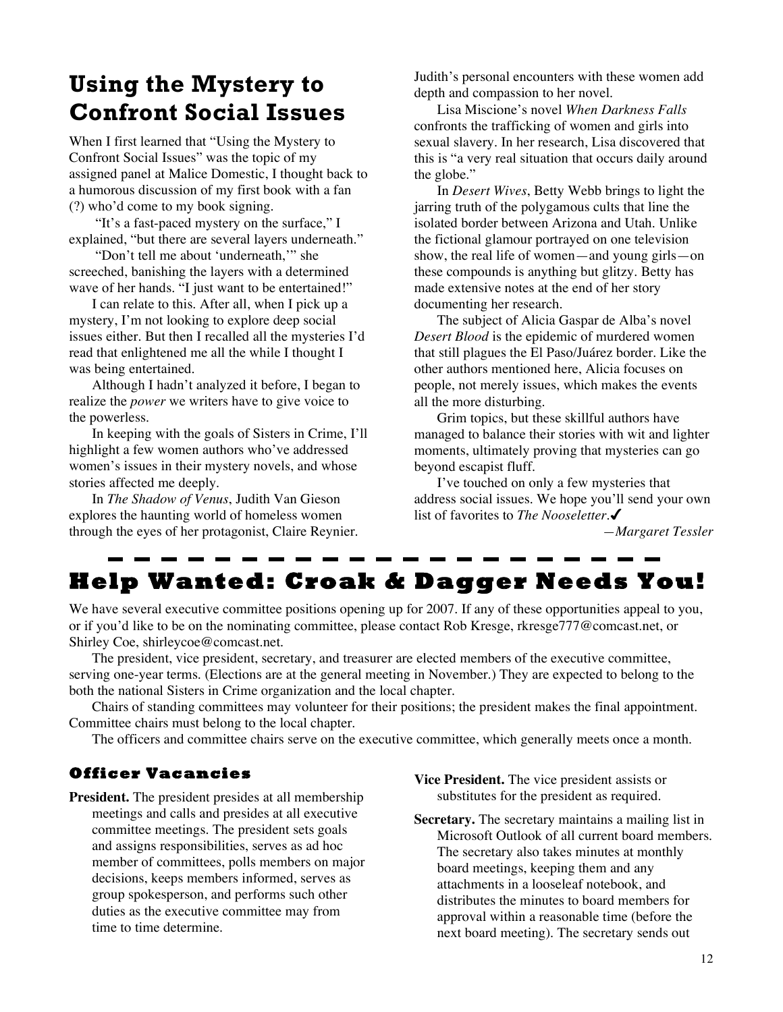## **Using the Mystery to Confront Social Issues**

When I first learned that "Using the Mystery to Confront Social Issues" was the topic of my assigned panel at Malice Domestic, I thought back to a humorous discussion of my first book with a fan (?) who'd come to my book signing.

"It's a fast-paced mystery on the surface," I explained, "but there are several layers underneath."

"Don't tell me about 'underneath,'" she screeched, banishing the layers with a determined wave of her hands. "I just want to be entertained!"

I can relate to this. After all, when I pick up a mystery, I'm not looking to explore deep social issues either. But then I recalled all the mysteries I'd read that enlightened me all the while I thought I was being entertained.

Although I hadn't analyzed it before, I began to realize the *power* we writers have to give voice to the powerless.

In keeping with the goals of Sisters in Crime, I'll highlight a few women authors who've addressed women's issues in their mystery novels, and whose stories affected me deeply.

In *The Shadow of Venus*, Judith Van Gieson explores the haunting world of homeless women through the eyes of her protagonist, Claire Reynier. Judith's personal encounters with these women add depth and compassion to her novel.

Lisa Miscione's novel *When Darkness Falls* confronts the trafficking of women and girls into sexual slavery. In her research, Lisa discovered that this is "a very real situation that occurs daily around the globe."

In *Desert Wives*, Betty Webb brings to light the jarring truth of the polygamous cults that line the isolated border between Arizona and Utah. Unlike the fictional glamour portrayed on one television show, the real life of women—and young girls—on these compounds is anything but glitzy. Betty has made extensive notes at the end of her story documenting her research.

The subject of Alicia Gaspar de Alba's novel *Desert Blood* is the epidemic of murdered women that still plagues the El Paso/Juárez border. Like the other authors mentioned here, Alicia focuses on people, not merely issues, which makes the events all the more disturbing.

Grim topics, but these skillful authors have managed to balance their stories with wit and lighter moments, ultimately proving that mysteries can go beyond escapist fluff.

I've touched on only a few mysteries that address social issues. We hope you'll send your own list of favorites to *The Nooseletter*.

*—Margaret Tessler*

## **Help Wanted: Croak & Dagger Needs You!**

We have several executive committee positions opening up for 2007. If any of these opportunities appeal to you, or if you'd like to be on the nominating committee, please contact Rob Kresge, rkresge777@comcast.net, or Shirley Coe, shirleycoe@comcast.net.

The president, vice president, secretary, and treasurer are elected members of the executive committee, serving one-year terms. (Elections are at the general meeting in November.) They are expected to belong to the both the national Sisters in Crime organization and the local chapter.

Chairs of standing committees may volunteer for their positions; the president makes the final appointment. Committee chairs must belong to the local chapter.

The officers and committee chairs serve on the executive committee, which generally meets once a month.

#### **Officer Vacancies**

- **President.** The president presides at all membership meetings and calls and presides at all executive committee meetings. The president sets goals and assigns responsibilities, serves as ad hoc member of committees, polls members on major decisions, keeps members informed, serves as group spokesperson, and performs such other duties as the executive committee may from time to time determine.
- **Vice President.** The vice president assists or substitutes for the president as required.
- **Secretary.** The secretary maintains a mailing list in Microsoft Outlook of all current board members. The secretary also takes minutes at monthly board meetings, keeping them and any attachments in a looseleaf notebook, and distributes the minutes to board members for approval within a reasonable time (before the next board meeting). The secretary sends out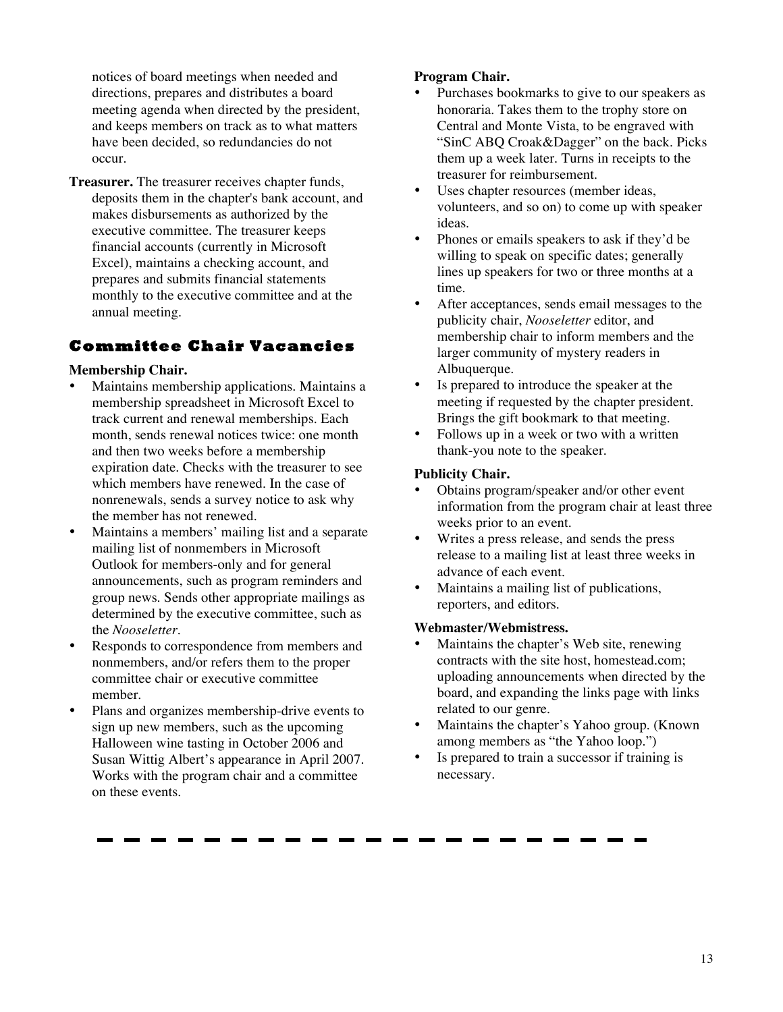notices of board meetings when needed and directions, prepares and distributes a board meeting agenda when directed by the president, and keeps members on track as to what matters have been decided, so redundancies do not occur.

**Treasurer.** The treasurer receives chapter funds, deposits them in the chapter's bank account, and makes disbursements as authorized by the executive committee. The treasurer keeps financial accounts (currently in Microsoft Excel), maintains a checking account, and prepares and submits financial statements monthly to the executive committee and at the annual meeting.

### **Committee Chair Vacancies**

#### **Membership Chair.**

- Maintains membership applications. Maintains a membership spreadsheet in Microsoft Excel to track current and renewal memberships. Each month, sends renewal notices twice: one month and then two weeks before a membership expiration date. Checks with the treasurer to see which members have renewed. In the case of nonrenewals, sends a survey notice to ask why the member has not renewed.
- Maintains a members' mailing list and a separate mailing list of nonmembers in Microsoft Outlook for members-only and for general announcements, such as program reminders and group news. Sends other appropriate mailings as determined by the executive committee, such as the *Nooseletter*.
- Responds to correspondence from members and nonmembers, and/or refers them to the proper committee chair or executive committee member.
- Plans and organizes membership-drive events to sign up new members, such as the upcoming Halloween wine tasting in October 2006 and Susan Wittig Albert's appearance in April 2007. Works with the program chair and a committee on these events.

#### **Program Chair.**

- Purchases bookmarks to give to our speakers as honoraria. Takes them to the trophy store on Central and Monte Vista, to be engraved with "SinC ABQ Croak&Dagger" on the back. Picks them up a week later. Turns in receipts to the treasurer for reimbursement.
- Uses chapter resources (member ideas, volunteers, and so on) to come up with speaker ideas.
- Phones or emails speakers to ask if they'd be willing to speak on specific dates; generally lines up speakers for two or three months at a time.
- After acceptances, sends email messages to the publicity chair, *Nooseletter* editor, and membership chair to inform members and the larger community of mystery readers in Albuquerque.
- Is prepared to introduce the speaker at the meeting if requested by the chapter president. Brings the gift bookmark to that meeting.
- Follows up in a week or two with a written thank-you note to the speaker.

#### **Publicity Chair.**

- Obtains program/speaker and/or other event information from the program chair at least three weeks prior to an event.
- Writes a press release, and sends the press release to a mailing list at least three weeks in advance of each event.
- Maintains a mailing list of publications, reporters, and editors.

#### **Webmaster/Webmistress.**

- Maintains the chapter's Web site, renewing contracts with the site host, homestead.com; uploading announcements when directed by the board, and expanding the links page with links related to our genre.
- Maintains the chapter's Yahoo group. (Known among members as "the Yahoo loop.")
- Is prepared to train a successor if training is necessary.